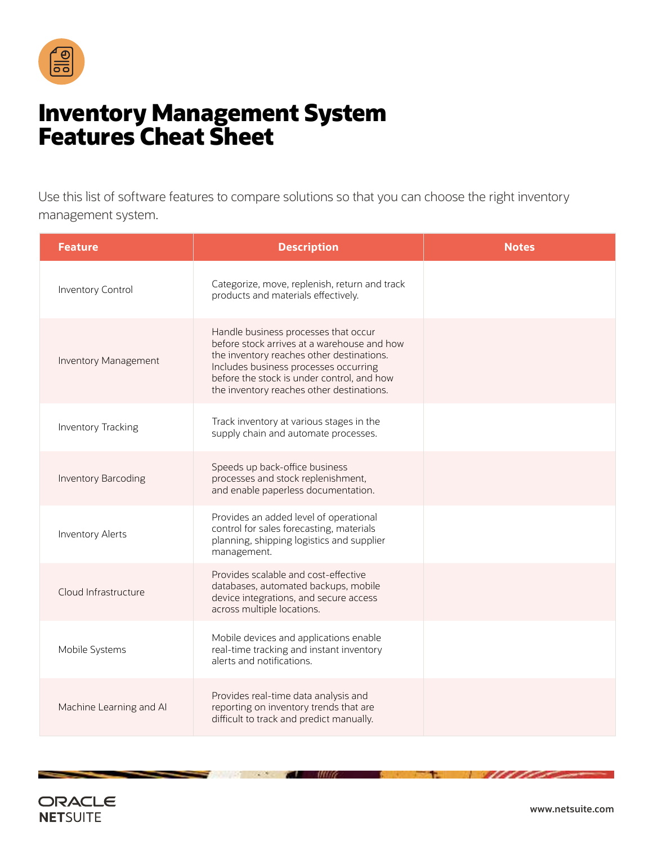

## **Inventory Management System Features Cheat Sheet**

Use this list of software features to compare solutions so that you can choose the right inventory management system.

| <b>Feature</b>             | <b>Description</b>                                                                                                                                                                                                                                                   | <b>Notes</b> |
|----------------------------|----------------------------------------------------------------------------------------------------------------------------------------------------------------------------------------------------------------------------------------------------------------------|--------------|
| Inventory Control          | Categorize, move, replenish, return and track<br>products and materials effectively.                                                                                                                                                                                 |              |
| Inventory Management       | Handle business processes that occur<br>before stock arrives at a warehouse and how<br>the inventory reaches other destinations.<br>Includes business processes occurring<br>before the stock is under control, and how<br>the inventory reaches other destinations. |              |
| Inventory Tracking         | Track inventory at various stages in the<br>supply chain and automate processes.                                                                                                                                                                                     |              |
| <b>Inventory Barcoding</b> | Speeds up back-office business<br>processes and stock replenishment,<br>and enable paperless documentation.                                                                                                                                                          |              |
| Inventory Alerts           | Provides an added level of operational<br>control for sales forecasting, materials<br>planning, shipping logistics and supplier<br>management.                                                                                                                       |              |
| Cloud Infrastructure       | Provides scalable and cost-effective<br>databases, automated backups, mobile<br>device integrations, and secure access<br>across multiple locations.                                                                                                                 |              |
| Mobile Systems             | Mobile devices and applications enable<br>real-time tracking and instant inventory<br>alerts and notifications.                                                                                                                                                      |              |
| Machine Learning and Al    | Provides real-time data analysis and<br>reporting on inventory trends that are<br>difficult to track and predict manually.                                                                                                                                           |              |

7

mua

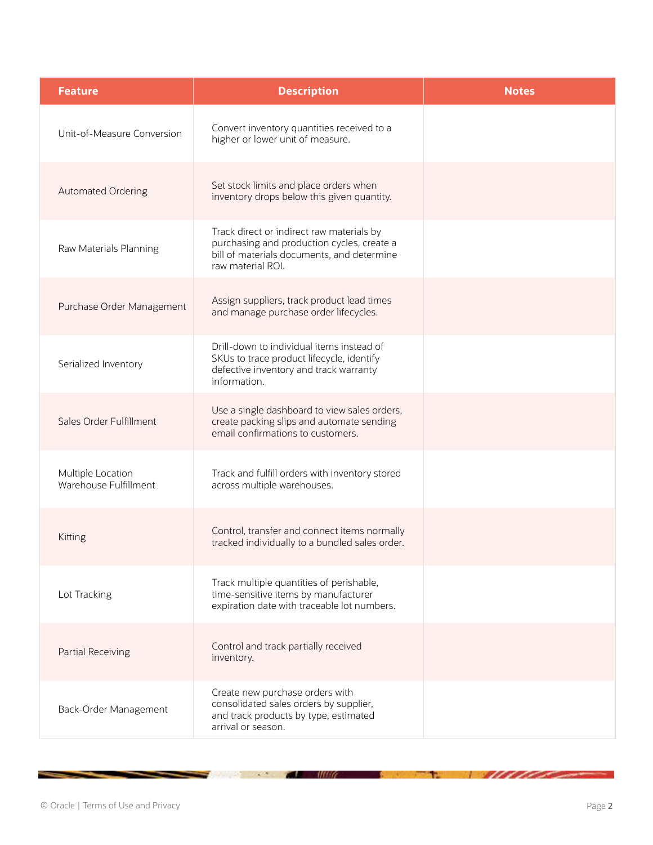| <b>Feature</b>                             | <b>Description</b>                                                                                                                                         | <b>Notes</b> |
|--------------------------------------------|------------------------------------------------------------------------------------------------------------------------------------------------------------|--------------|
| Unit-of-Measure Conversion                 | Convert inventory quantities received to a<br>higher or lower unit of measure.                                                                             |              |
| Automated Ordering                         | Set stock limits and place orders when<br>inventory drops below this given quantity.                                                                       |              |
| Raw Materials Planning                     | Track direct or indirect raw materials by<br>purchasing and production cycles, create a<br>bill of materials documents, and determine<br>raw material ROI. |              |
| Purchase Order Management                  | Assign suppliers, track product lead times<br>and manage purchase order lifecycles.                                                                        |              |
| Serialized Inventory                       | Drill-down to individual items instead of<br>SKUs to trace product lifecycle, identify<br>defective inventory and track warranty<br>information.           |              |
| Sales Order Fulfillment                    | Use a single dashboard to view sales orders,<br>create packing slips and automate sending<br>email confirmations to customers.                             |              |
| Multiple Location<br>Warehouse Fulfillment | Track and fulfill orders with inventory stored<br>across multiple warehouses.                                                                              |              |
| Kitting                                    | Control, transfer and connect items normally<br>tracked individually to a bundled sales order.                                                             |              |
| Lot Tracking                               | Track multiple quantities of perishable,<br>time-sensitive items by manufacturer<br>expiration date with traceable lot numbers.                            |              |
| Partial Receiving                          | Control and track partially received<br>inventory.                                                                                                         |              |
| Back-Order Management                      | Create new purchase orders with<br>consolidated sales orders by supplier,<br>and track products by type, estimated<br>arrival or season.                   |              |

 $\mathcal{L}$  and  $\mathcal{L}$ 

the contract of the contract of the contract of

<u>William Song</u>

t.

и

Ł